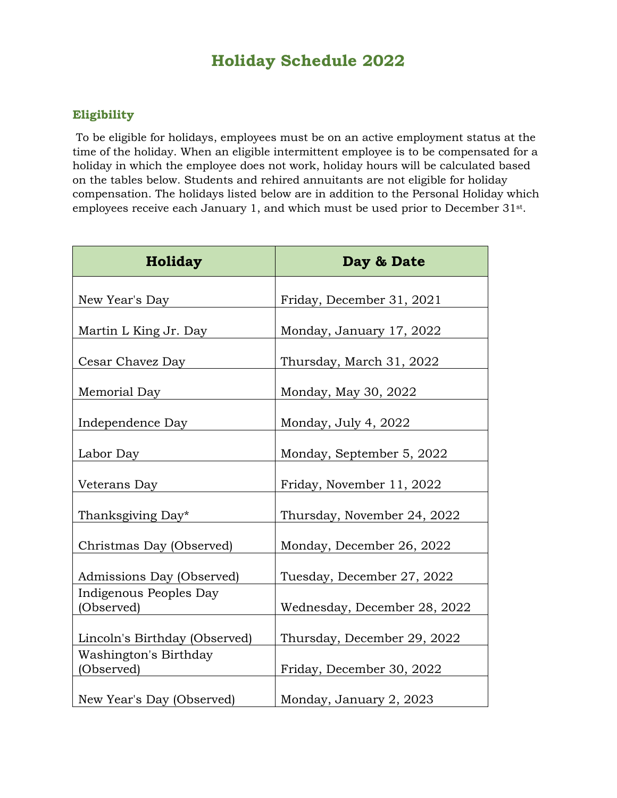## **Holiday Schedule 2022**

## **Eligibility**

To be eligible for holidays, employees must be on an active employment status at the time of the holiday. When an eligible intermittent employee is to be compensated for a holiday in which the employee does not work, holiday hours will be calculated based on the tables below. Students and rehired annuitants are not eligible for holiday compensation. The holidays listed below are in addition to the Personal Holiday which employees receive each January 1, and which must be used prior to December 31st.

| <b>Holiday</b>                       | Day & Date                   |
|--------------------------------------|------------------------------|
| New Year's Day                       | Friday, December 31, 2021    |
| Martin L King Jr. Day                | Monday, January 17, 2022     |
| Cesar Chavez Day                     | Thursday, March 31, 2022     |
| Memorial Day                         | Monday, May 30, 2022         |
| Independence Day                     | Monday, July 4, 2022         |
| Labor Day                            | Monday, September 5, 2022    |
| Veterans Day                         | Friday, November 11, 2022    |
| Thanksgiving Day*                    | Thursday, November 24, 2022  |
| Christmas Day (Observed)             | Monday, December 26, 2022    |
| Admissions Day (Observed)            | Tuesday, December 27, 2022   |
| Indigenous Peoples Day<br>(Observed) | Wednesday, December 28, 2022 |
| Lincoln's Birthday (Observed)        | Thursday, December 29, 2022  |
| Washington's Birthday<br>(Observed)  | Friday, December 30, 2022    |
| New Year's Day (Observed)            | Monday, January 2, 2023      |